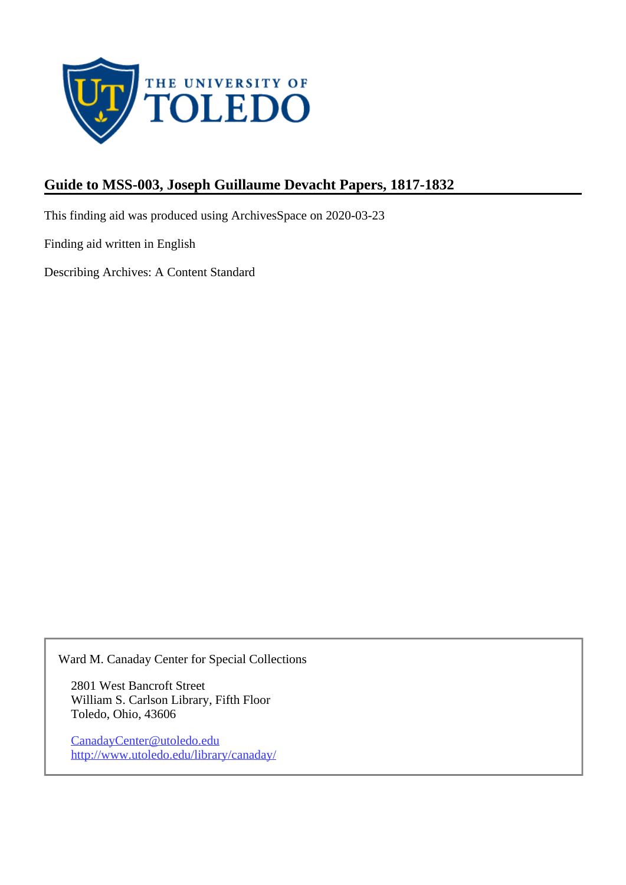

## **Guide to MSS-003, Joseph Guillaume Devacht Papers, 1817-1832**

This finding aid was produced using ArchivesSpace on 2020-03-23

Finding aid written in English

Describing Archives: A Content Standard

Ward M. Canaday Center for Special Collections

2801 West Bancroft Street William S. Carlson Library, Fifth Floor Toledo, Ohio, 43606

CanadayCenter@utoledo.edu <http://www.utoledo.edu/library/canaday/>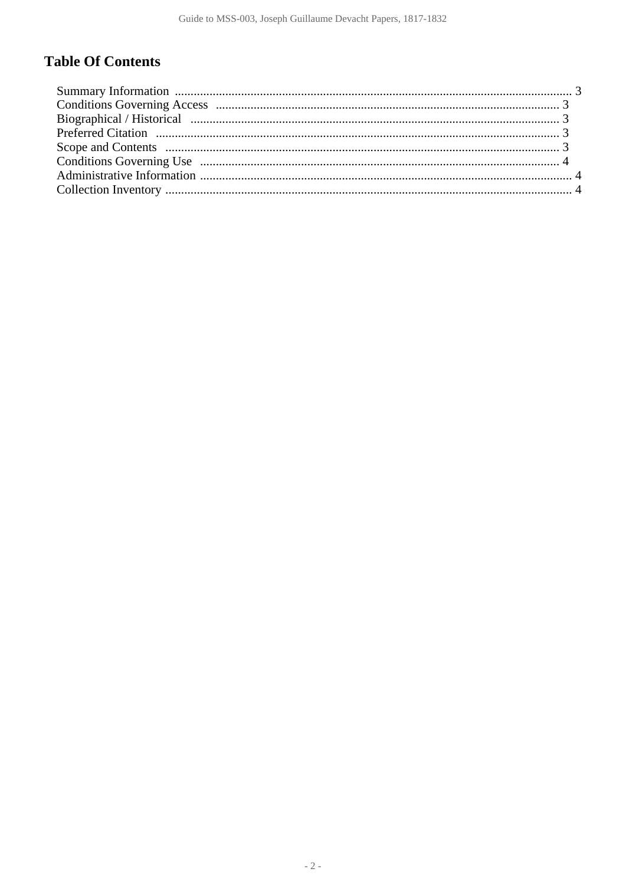# **Table Of Contents**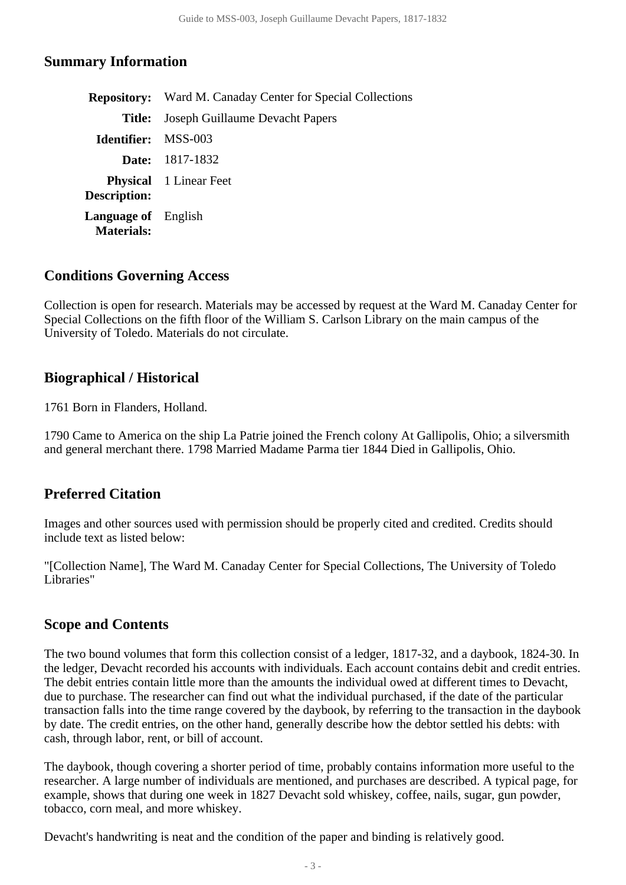#### <span id="page-2-0"></span>**Summary Information**

|                                                 | <b>Repository:</b> Ward M. Canaday Center for Special Collections |  |  |
|-------------------------------------------------|-------------------------------------------------------------------|--|--|
| Title:                                          | Joseph Guillaume Devacht Papers                                   |  |  |
| <b>Identifier:</b> MSS-003                      |                                                                   |  |  |
|                                                 | <b>Date:</b> 1817-1832                                            |  |  |
| <b>Description:</b>                             | <b>Physical</b> 1 Linear Feet                                     |  |  |
| <b>Language of</b> English<br><b>Materials:</b> |                                                                   |  |  |

#### <span id="page-2-1"></span>**Conditions Governing Access**

Collection is open for research. Materials may be accessed by request at the Ward M. Canaday Center for Special Collections on the fifth floor of the William S. Carlson Library on the main campus of the University of Toledo. Materials do not circulate.

#### <span id="page-2-2"></span>**Biographical / Historical**

1761 Born in Flanders, Holland.

1790 Came to America on the ship La Patrie joined the French colony At Gallipolis, Ohio; a silversmith and general merchant there. 1798 Married Madame Parma tier 1844 Died in Gallipolis, Ohio.

### <span id="page-2-3"></span>**Preferred Citation**

Images and other sources used with permission should be properly cited and credited. Credits should include text as listed below:

"[Collection Name], The Ward M. Canaday Center for Special Collections, The University of Toledo Libraries"

### <span id="page-2-4"></span>**Scope and Contents**

The two bound volumes that form this collection consist of a ledger, 1817-32, and a daybook, 1824-30. In the ledger, Devacht recorded his accounts with individuals. Each account contains debit and credit entries. The debit entries contain little more than the amounts the individual owed at different times to Devacht, due to purchase. The researcher can find out what the individual purchased, if the date of the particular transaction falls into the time range covered by the daybook, by referring to the transaction in the daybook by date. The credit entries, on the other hand, generally describe how the debtor settled his debts: with cash, through labor, rent, or bill of account.

The daybook, though covering a shorter period of time, probably contains information more useful to the researcher. A large number of individuals are mentioned, and purchases are described. A typical page, for example, shows that during one week in 1827 Devacht sold whiskey, coffee, nails, sugar, gun powder, tobacco, corn meal, and more whiskey.

Devacht's handwriting is neat and the condition of the paper and binding is relatively good.